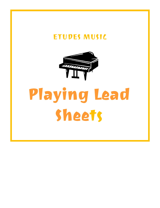## ETUDES MUSIC



# Playing Lead **Sheets**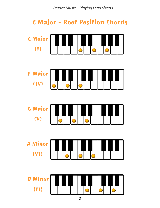### **C Major - Root Position Chords**

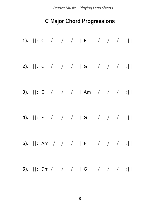#### **C Major Chord Progressions**

|  |  |  | 1). $  : C / / /  F / /   /  $   |  |  |
|--|--|--|----------------------------------|--|--|
|  |  |  | 2). $  : C / / /   G / /   G  $  |  |  |
|  |  |  | 3). $  : C / / /  Am / /  $      |  |  |
|  |  |  | 4).   : F / / /   G / / / :      |  |  |
|  |  |  | 5). $    : Am / / /   F / /   F$ |  |  |
|  |  |  | 6).   : Dm / / /   G / / / :     |  |  |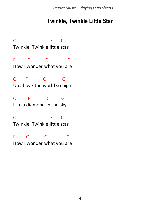#### **Twinkle, Twinkle Little Star**

C F C Twinkle, Twinkle little star F C G C How I wonder what you are C F C G Up above the world so high C F C G Like a diamond in the sky C F C Twinkle, Twinkle little star F C G C How I wonder what you are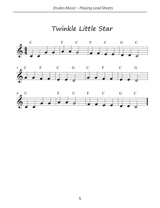Twinkle Little Star





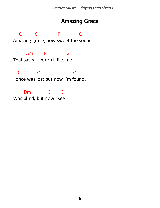#### **Amazing Grace**

 C C F C Amazing grace, how sweet the sound Am F G

That saved a wretch like me.

 C C F C I once was lost but now I'm found.

Dm G C Was blind, but now I see.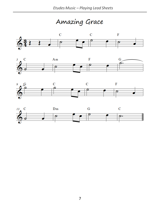Amazing Grace







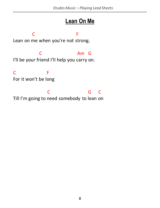#### **Lean On Me**

**C** F Lean on me when you're not strong.

 C Am G I'll be your friend I'll help you carry on.

C<sub>F</sub> For it won't be long

C<sub>C</sub> G C Till I'm going to need somebody to lean on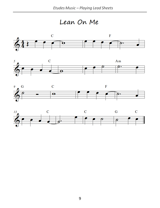Lean On Me